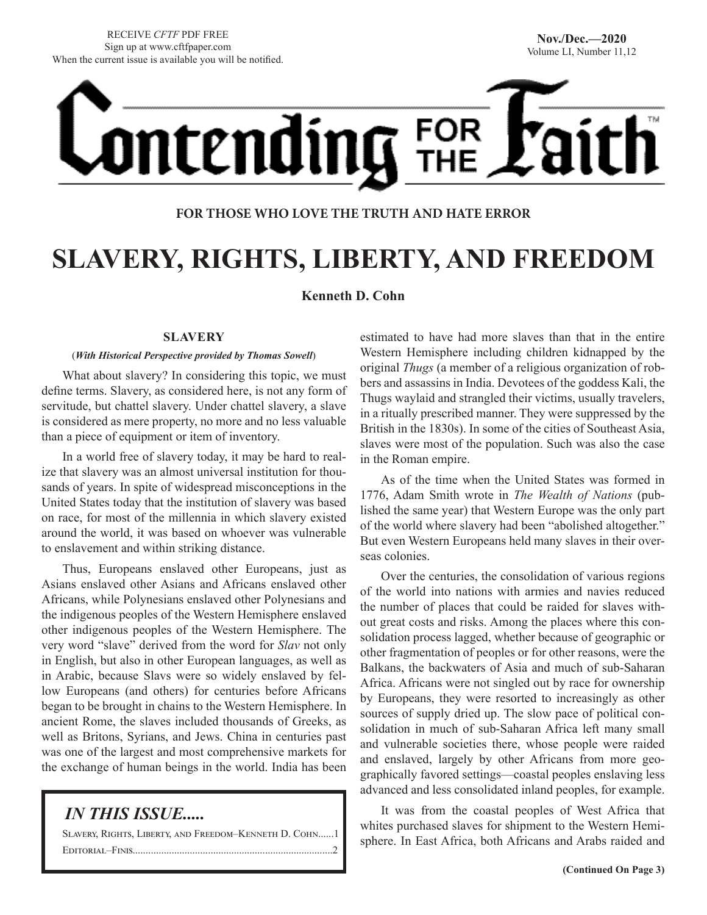

# **ontending** FOR

# **FOR THOSE WHO LOVE THE TRUTH AND HATE ERROR**

# **SLAVERY, RIGHTS, LIBERTY, AND FREEDOM**

**Kenneth D. Cohn**

# **SLAVERY**

# (*With Historical Perspective provided by Thomas Sowell*)

What about slavery? In considering this topic, we must define terms. Slavery, as considered here, is not any form of servitude, but chattel slavery. Under chattel slavery, a slave is considered as mere property, no more and no less valuable than a piece of equipment or item of inventory.

In a world free of slavery today, it may be hard to realize that slavery was an almost universal institution for thousands of years. In spite of widespread misconceptions in the United States today that the institution of slavery was based on race, for most of the millennia in which slavery existed around the world, it was based on whoever was vulnerable to enslavement and within striking distance.

Thus, Europeans enslaved other Europeans, just as Asians enslaved other Asians and Africans enslaved other Africans, while Polynesians enslaved other Polynesians and the indigenous peoples of the Western Hemisphere enslaved other indigenous peoples of the Western Hemisphere. The very word "slave" derived from the word for *Slav* not only in English, but also in other European languages, as well as in Arabic, because Slavs were so widely enslaved by fellow Europeans (and others) for centuries before Africans began to be brought in chains to the Western Hemisphere. In ancient Rome, the slaves included thousands of Greeks, as well as Britons, Syrians, and Jews. China in centuries past was one of the largest and most comprehensive markets for the exchange of human beings in the world. India has been

# *IN THIS ISSUE.....*

Slavery, Rights, Liberty, and Freedom–Kenneth D. Cohn......1 Editorial–Finis.............................................................................2

estimated to have had more slaves than that in the entire Western Hemisphere including children kidnapped by the original *Thugs* (a member of a religious organization of robbers and assassins in India. Devotees of the goddess Kali, the Thugs waylaid and strangled their victims, usually travelers, in a ritually prescribed manner. They were suppressed by the British in the 1830s). In some of the cities of Southeast Asia, slaves were most of the population. Such was also the case in the Roman empire.

As of the time when the United States was formed in 1776, Adam Smith wrote in *The Wealth of Nations* (published the same year) that Western Europe was the only part of the world where slavery had been "abolished altogether." But even Western Europeans held many slaves in their overseas colonies.

Over the centuries, the consolidation of various regions of the world into nations with armies and navies reduced the number of places that could be raided for slaves without great costs and risks. Among the places where this consolidation process lagged, whether because of geographic or other fragmentation of peoples or for other reasons, were the Balkans, the backwaters of Asia and much of sub-Saharan Africa. Africans were not singled out by race for ownership by Europeans, they were resorted to increasingly as other sources of supply dried up. The slow pace of political consolidation in much of sub-Saharan Africa left many small and vulnerable societies there, whose people were raided and enslaved, largely by other Africans from more geographically favored settings—coastal peoples enslaving less advanced and less consolidated inland peoples, for example.

It was from the coastal peoples of West Africa that whites purchased slaves for shipment to the Western Hemisphere. In East Africa, both Africans and Arabs raided and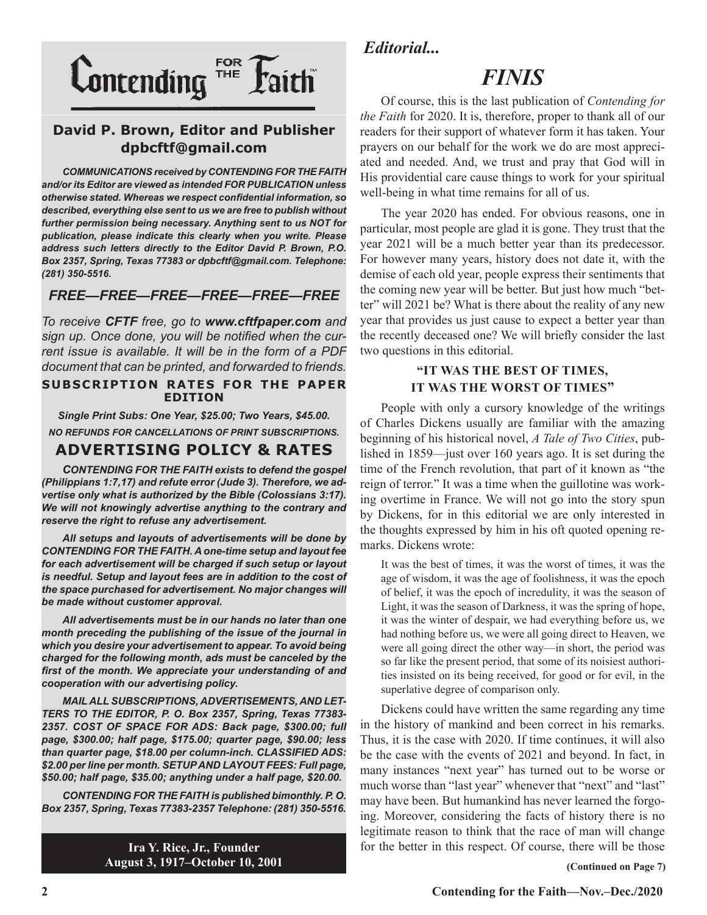

# **David P. Brown, Editor and Publisher dpbcftf@gmail.com**

*COMMUNICATIONS received by CONTENDING FOR THE FAITH and/or its Editor are viewed as intended FOR PUBLICATION unless otherwise stated. Whereas we respect confidential information, so described, everything else sent to us we are free to publish without further permission being necessary. Anything sent to us NOT for publication, please indicate this clearly when you write. Please address such letters directly to the Editor David P. Brown, P.O. Box 2357, Spring, Texas 77383 or dpbcftf@gmail.com. Telephone: (281) 350-5516.*

# *FREE—FREE—FREE—FREE—FREE—FREE*

*To receive CFTF free, go to www.cftfpaper.com and sign up. Once done, you will be notified when the current issue is available. It will be in the form of a PDF document that can be printed, and forwarded to friends.*

# **SUBSCRIPTION RATES FOR THE PAPER EDITION**

*Single Print Subs: One Year, \$25.00; Two Years, \$45.00. NO REFUNDS FOR CANCELLATIONS OF PRINT SUBSCRIPTIONS.*

# **ADVERTISING POLICY & RATES**

*CONTENDING FOR THE FAITH exists to defend the gospel (Philippians 1:7,17) and refute error (Jude 3). Therefore, we advertise only what is authorized by the Bible (Colossians 3:17). We will not knowingly advertise anything to the contrary and reserve the right to refuse any advertisement.*

*All setups and layouts of advertisements will be done by CONTENDING FOR THE FAITH. A one-time setup and layout fee for each advertisement will be charged if such setup or layout*  is needful. Setup and layout fees are in addition to the cost of *the space purchased for advertisement. No major changes will be made without customer approval.*

*All advertisements must be in our hands no later than one month preceding the publishing of the issue of the journal in which you desire your advertisement to appear. To avoid being charged for the following month, ads must be canceled by the first of the month. We appreciate your understanding of and cooperation with our advertising policy.*

*MAIL ALL SUBSCRIPTIONS, ADVERTISEMENTS, AND LET-TERS TO THE EDITOR, P. O. Box 2357, Spring, Texas 77383- 2357. COST OF SPACE FOR ADS: Back page, \$300.00; full page, \$300.00; half page, \$175.00; quarter page, \$90.00; less than quarter page, \$18.00 per column-inch. CLASSIFIED ADS: \$2.00 per line per month. SETUP AND LAYOUT FEES: Full page, \$50.00; half page, \$35.00; anything under a half page, \$20.00.*

*CONTENDING FOR THE FAITH is published bimonthly. P. O. Box 2357, Spring, Texas 77383-2357 Telephone: (281) 350-5516.*

> **Ira Y. Rice, Jr., Founder August 3, 1917–October 10, 2001**

*Editorial...*

# *FINIS*

Of course, this is the last publication of *Contending for the Faith* for 2020. It is, therefore, proper to thank all of our readers for their support of whatever form it has taken. Your prayers on our behalf for the work we do are most appreciated and needed. And, we trust and pray that God will in His providential care cause things to work for your spiritual well-being in what time remains for all of us.

The year 2020 has ended. For obvious reasons, one in particular, most people are glad it is gone. They trust that the year 2021 will be a much better year than its predecessor. For however many years, history does not date it, with the demise of each old year, people express their sentiments that the coming new year will be better. But just how much "better" will 2021 be? What is there about the reality of any new year that provides us just cause to expect a better year than the recently deceased one? We will briefly consider the last two questions in this editorial.

# **"IT WAS THE BEST OF TIMES, IT WAS THE WORST OF TIMES"**

People with only a cursory knowledge of the writings of Charles Dickens usually are familiar with the amazing beginning of his historical novel, *A Tale of Two Cities*, published in 1859—just over 160 years ago. It is set during the time of the French revolution, that part of it known as "the reign of terror." It was a time when the guillotine was working overtime in France. We will not go into the story spun by Dickens, for in this editorial we are only interested in the thoughts expressed by him in his oft quoted opening remarks. Dickens wrote:

It was the best of times, it was the worst of times, it was the age of wisdom, it was the age of foolishness, it was the epoch of belief, it was the epoch of incredulity, it was the season of Light, it was the season of Darkness, it was the spring of hope, it was the winter of despair, we had everything before us, we had nothing before us, we were all going direct to Heaven, we were all going direct the other way—in short, the period was so far like the present period, that some of its noisiest authorities insisted on its being received, for good or for evil, in the superlative degree of comparison only.

Dickens could have written the same regarding any time in the history of mankind and been correct in his remarks. Thus, it is the case with 2020. If time continues, it will also be the case with the events of 2021 and beyond. In fact, in many instances "next year" has turned out to be worse or much worse than "last year" whenever that "next" and "last" may have been. But humankind has never learned the forgoing. Moreover, considering the facts of history there is no legitimate reason to think that the race of man will change for the better in this respect. Of course, there will be those

**(Continued on Page 7)**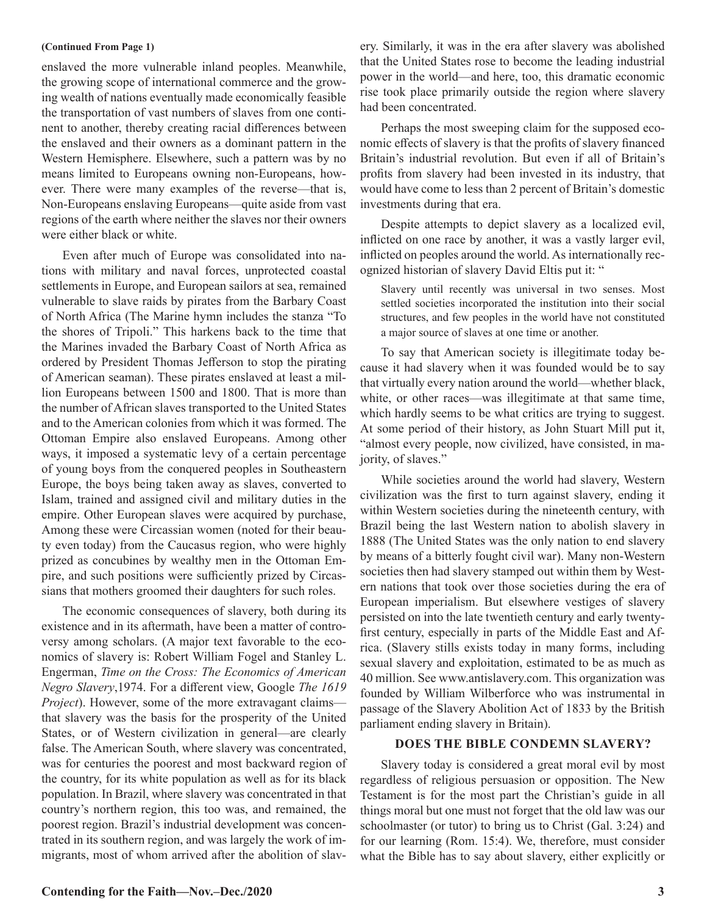### **(Continued From Page 1)**

enslaved the more vulnerable inland peoples. Meanwhile, the growing scope of international commerce and the growing wealth of nations eventually made economically feasible the transportation of vast numbers of slaves from one continent to another, thereby creating racial differences between the enslaved and their owners as a dominant pattern in the Western Hemisphere. Elsewhere, such a pattern was by no means limited to Europeans owning non-Europeans, however. There were many examples of the reverse—that is, Non-Europeans enslaving Europeans—quite aside from vast regions of the earth where neither the slaves nor their owners were either black or white.

Even after much of Europe was consolidated into nations with military and naval forces, unprotected coastal settlements in Europe, and European sailors at sea, remained vulnerable to slave raids by pirates from the Barbary Coast of North Africa (The Marine hymn includes the stanza "To the shores of Tripoli." This harkens back to the time that the Marines invaded the Barbary Coast of North Africa as ordered by President Thomas Jefferson to stop the pirating of American seaman). These pirates enslaved at least a million Europeans between 1500 and 1800. That is more than the number of African slaves transported to the United States and to the American colonies from which it was formed. The Ottoman Empire also enslaved Europeans. Among other ways, it imposed a systematic levy of a certain percentage of young boys from the conquered peoples in Southeastern Europe, the boys being taken away as slaves, converted to Islam, trained and assigned civil and military duties in the empire. Other European slaves were acquired by purchase, Among these were Circassian women (noted for their beauty even today) from the Caucasus region, who were highly prized as concubines by wealthy men in the Ottoman Empire, and such positions were sufficiently prized by Circassians that mothers groomed their daughters for such roles.

The economic consequences of slavery, both during its existence and in its aftermath, have been a matter of controversy among scholars. (A major text favorable to the economics of slavery is: Robert William Fogel and Stanley L. Engerman, *Time on the Cross: The Economics of American Negro Slavery*,1974. For a different view, Google *The 1619 Project*). However, some of the more extravagant claims that slavery was the basis for the prosperity of the United States, or of Western civilization in general—are clearly false. The American South, where slavery was concentrated, was for centuries the poorest and most backward region of the country, for its white population as well as for its black population. In Brazil, where slavery was concentrated in that country's northern region, this too was, and remained, the poorest region. Brazil's industrial development was concentrated in its southern region, and was largely the work of immigrants, most of whom arrived after the abolition of slavery. Similarly, it was in the era after slavery was abolished that the United States rose to become the leading industrial power in the world—and here, too, this dramatic economic rise took place primarily outside the region where slavery had been concentrated.

Perhaps the most sweeping claim for the supposed economic effects of slavery is that the profits of slavery financed Britain's industrial revolution. But even if all of Britain's profits from slavery had been invested in its industry, that would have come to less than 2 percent of Britain's domestic investments during that era.

Despite attempts to depict slavery as a localized evil, inflicted on one race by another, it was a vastly larger evil, inflicted on peoples around the world. As internationally recognized historian of slavery David Eltis put it: "

Slavery until recently was universal in two senses. Most settled societies incorporated the institution into their social structures, and few peoples in the world have not constituted a major source of slaves at one time or another.

To say that American society is illegitimate today because it had slavery when it was founded would be to say that virtually every nation around the world—whether black, white, or other races—was illegitimate at that same time, which hardly seems to be what critics are trying to suggest. At some period of their history, as John Stuart Mill put it, "almost every people, now civilized, have consisted, in majority, of slaves."

While societies around the world had slavery, Western civilization was the first to turn against slavery, ending it within Western societies during the nineteenth century, with Brazil being the last Western nation to abolish slavery in 1888 (The United States was the only nation to end slavery by means of a bitterly fought civil war). Many non-Western societies then had slavery stamped out within them by Western nations that took over those societies during the era of European imperialism. But elsewhere vestiges of slavery persisted on into the late twentieth century and early twentyfirst century, especially in parts of the Middle East and Africa. (Slavery stills exists today in many forms, including sexual slavery and exploitation, estimated to be as much as 40 million. See www.antislavery.com. This organization was founded by William Wilberforce who was instrumental in passage of the Slavery Abolition Act of 1833 by the British parliament ending slavery in Britain).

# **DOES THE BIBLE CONDEMN SLAVERY?**

Slavery today is considered a great moral evil by most regardless of religious persuasion or opposition. The New Testament is for the most part the Christian's guide in all things moral but one must not forget that the old law was our schoolmaster (or tutor) to bring us to Christ (Gal. 3:24) and for our learning (Rom. 15:4). We, therefore, must consider what the Bible has to say about slavery, either explicitly or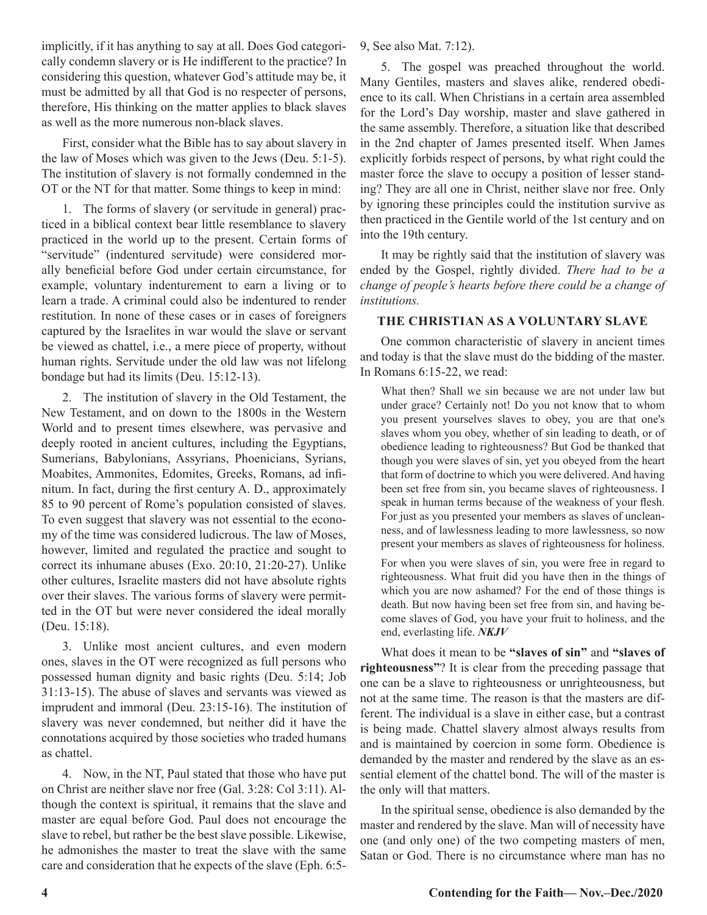implicitly, if it has anything to say at all. Does God categorically condemn slavery or is He indifferent to the practice? In considering this question, whatever God's attitude may be, it must be admitted by all that God is no respecter of persons, therefore, His thinking on the matter applies to black slaves as well as the more numerous non-black slaves.

First, consider what the Bible has to say about slavery in the law of Moses which was given to the Jews (Deu. 5:1-5). The institution of slavery is not formally condemned in the OT or the NT for that matter. Some things to keep in mind:

1. The forms of slavery (or servitude in general) practiced in a biblical context bear little resemblance to slavery practiced in the world up to the present. Certain forms of "servitude" (indentured servitude) were considered morally beneficial before God under certain circumstance, for example, voluntary indenturement to earn a living or to learn a trade. A criminal could also be indentured to render restitution. In none of these cases or in cases of foreigners captured by the Israelites in war would the slave or servant be viewed as chattel, i.e., a mere piece of property, without human rights. Servitude under the old law was not lifelong bondage but had its limits (Deu. 15:12-13).

2. The institution of slavery in the Old Testament, the New Testament, and on down to the 1800s in the Western World and to present times elsewhere, was pervasive and deeply rooted in ancient cultures, including the Egyptians, Sumerians, Babylonians, Assyrians, Phoenicians, Syrians, Moabites, Ammonites, Edomites, Greeks, Romans, ad infinitum. In fact, during the first century A. D., approximately 85 to 90 percent of Rome's population consisted of slaves. To even suggest that slavery was not essential to the economy of the time was considered ludicrous. The law of Moses, however, limited and regulated the practice and sought to correct its inhumane abuses (Exo. 20:10, 21:20-27). Unlike other cultures, Israelite masters did not have absolute rights over their slaves. The various forms of slavery were permitted in the OT but were never considered the ideal morally (Deu. 15:18).

3. Unlike most ancient cultures, and even modern ones, slaves in the OT were recognized as full persons who possessed human dignity and basic rights (Deu. 5:14; Job 31:13-15). The abuse of slaves and servants was viewed as imprudent and immoral (Deu. 23:15-16). The institution of slavery was never condemned, but neither did it have the connotations acquired by those societies who traded humans as chattel.

4. Now, in the NT, Paul stated that those who have put on Christ are neither slave nor free (Gal. 3:28: Col 3:11). Although the context is spiritual, it remains that the slave and master are equal before God. Paul does not encourage the slave to rebel, but rather be the best slave possible. Likewise, he admonishes the master to treat the slave with the same care and consideration that he expects of the slave (Eph. 6:59, See also Mat. 7:12).

5. The gospel was preached throughout the world. Many Gentiles, masters and slaves alike, rendered obedience to its call. When Christians in a certain area assembled for the Lord's Day worship, master and slave gathered in the same assembly. Therefore, a situation like that described in the 2nd chapter of James presented itself. When James explicitly forbids respect of persons, by what right could the master force the slave to occupy a position of lesser standing? They are all one in Christ, neither slave nor free. Only by ignoring these principles could the institution survive as then practiced in the Gentile world of the 1st century and on into the 19th century.

It may be rightly said that the institution of slavery was ended by the Gospel, rightly divided. *There had to be a change of people's hearts before there could be a change of institutions.*

# **THE CHRISTIAN AS A VOLUNTARY SLAVE**

One common characteristic of slavery in ancient times and today is that the slave must do the bidding of the master. In Romans 6:15-22, we read:

What then? Shall we sin because we are not under law but under grace? Certainly not! Do you not know that to whom you present yourselves slaves to obey, you are that one's slaves whom you obey, whether of sin leading to death, or of obedience leading to righteousness? But God be thanked that though you were slaves of sin, yet you obeyed from the heart that form of doctrine to which you were delivered. And having been set free from sin, you became slaves of righteousness. I speak in human terms because of the weakness of your flesh. For just as you presented your members as slaves of uncleanness, and of lawlessness leading to more lawlessness, so now present your members as slaves of righteousness for holiness.

For when you were slaves of sin, you were free in regard to righteousness. What fruit did you have then in the things of which you are now ashamed? For the end of those things is death. But now having been set free from sin, and having become slaves of God, you have your fruit to holiness, and the end, everlasting life. *NKJV*

What does it mean to be **"slaves of sin"** and **"slaves of righteousness"**? It is clear from the preceding passage that one can be a slave to righteousness or unrighteousness, but not at the same time. The reason is that the masters are different. The individual is a slave in either case, but a contrast is being made. Chattel slavery almost always results from and is maintained by coercion in some form. Obedience is demanded by the master and rendered by the slave as an essential element of the chattel bond. The will of the master is the only will that matters.

In the spiritual sense, obedience is also demanded by the master and rendered by the slave. Man will of necessity have one (and only one) of the two competing masters of men, Satan or God. There is no circumstance where man has no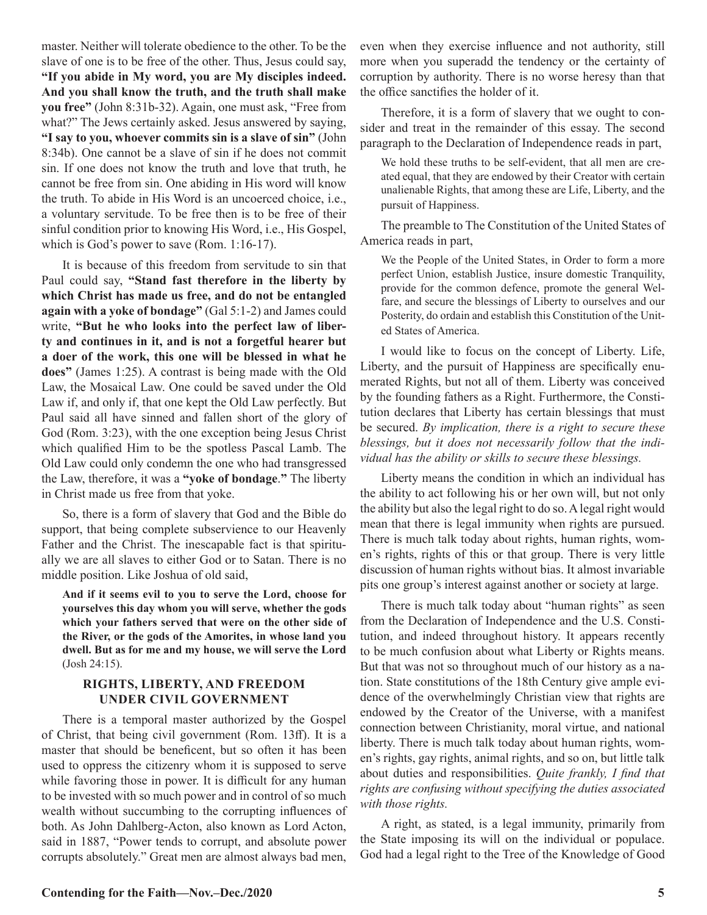master. Neither will tolerate obedience to the other. To be the slave of one is to be free of the other. Thus, Jesus could say, **"If you abide in My word, you are My disciples indeed. And you shall know the truth, and the truth shall make you free"** (John 8:31b-32). Again, one must ask, "Free from what?" The Jews certainly asked. Jesus answered by saying, **"I say to you, whoever commits sin is a slave of sin"** (John 8:34b). One cannot be a slave of sin if he does not commit sin. If one does not know the truth and love that truth, he cannot be free from sin. One abiding in His word will know the truth. To abide in His Word is an uncoerced choice, i.e., a voluntary servitude. To be free then is to be free of their sinful condition prior to knowing His Word, i.e., His Gospel, which is God's power to save (Rom. 1:16-17).

It is because of this freedom from servitude to sin that Paul could say, **"Stand fast therefore in the liberty by which Christ has made us free, and do not be entangled again with a yoke of bondage"** (Gal 5:1-2) and James could write, **"But he who looks into the perfect law of liberty and continues in it, and is not a forgetful hearer but a doer of the work, this one will be blessed in what he does"** (James 1:25). A contrast is being made with the Old Law, the Mosaical Law. One could be saved under the Old Law if, and only if, that one kept the Old Law perfectly. But Paul said all have sinned and fallen short of the glory of God (Rom. 3:23), with the one exception being Jesus Christ which qualified Him to be the spotless Pascal Lamb. The Old Law could only condemn the one who had transgressed the Law, therefore, it was a **"yoke of bondage**.**"** The liberty in Christ made us free from that yoke.

So, there is a form of slavery that God and the Bible do support, that being complete subservience to our Heavenly Father and the Christ. The inescapable fact is that spiritually we are all slaves to either God or to Satan. There is no middle position. Like Joshua of old said,

**And if it seems evil to you to serve the Lord, choose for yourselves this day whom you will serve, whether the gods which your fathers served that were on the other side of the River, or the gods of the Amorites, in whose land you dwell. But as for me and my house, we will serve the Lord** (Josh 24:15).

# **RIGHTS, LIBERTY, AND FREEDOM UNDER CIVIL GOVERNMENT**

There is a temporal master authorized by the Gospel of Christ, that being civil government (Rom. 13ff). It is a master that should be beneficent, but so often it has been used to oppress the citizenry whom it is supposed to serve while favoring those in power. It is difficult for any human to be invested with so much power and in control of so much wealth without succumbing to the corrupting influences of both. As John Dahlberg-Acton, also known as Lord Acton, said in 1887, "Power tends to corrupt, and absolute power corrupts absolutely." Great men are almost always bad men,

even when they exercise influence and not authority, still more when you superadd the tendency or the certainty of corruption by authority. There is no worse heresy than that the office sanctifies the holder of it.

Therefore, it is a form of slavery that we ought to consider and treat in the remainder of this essay. The second paragraph to the Declaration of Independence reads in part,

We hold these truths to be self-evident, that all men are created equal, that they are endowed by their Creator with certain unalienable Rights, that among these are Life, Liberty, and the pursuit of Happiness.

The preamble to The Constitution of the United States of America reads in part,

We the People of the United States, in Order to form a more perfect Union, establish Justice, insure domestic Tranquility, provide for the common defence, promote the general Welfare, and secure the blessings of Liberty to ourselves and our Posterity, do ordain and establish this Constitution of the United States of America.

I would like to focus on the concept of Liberty. Life, Liberty, and the pursuit of Happiness are specifically enumerated Rights, but not all of them. Liberty was conceived by the founding fathers as a Right. Furthermore, the Constitution declares that Liberty has certain blessings that must be secured. *By implication, there is a right to secure these blessings, but it does not necessarily follow that the individual has the ability or skills to secure these blessings.* 

Liberty means the condition in which an individual has the ability to act following his or her own will, but not only the ability but also the legal right to do so. A legal right would mean that there is legal immunity when rights are pursued. There is much talk today about rights, human rights, women's rights, rights of this or that group. There is very little discussion of human rights without bias. It almost invariable pits one group's interest against another or society at large.

There is much talk today about "human rights" as seen from the Declaration of Independence and the U.S. Constitution, and indeed throughout history. It appears recently to be much confusion about what Liberty or Rights means. But that was not so throughout much of our history as a nation. State constitutions of the 18th Century give ample evidence of the overwhelmingly Christian view that rights are endowed by the Creator of the Universe, with a manifest connection between Christianity, moral virtue, and national liberty. There is much talk today about human rights, women's rights, gay rights, animal rights, and so on, but little talk about duties and responsibilities. *Quite frankly, I find that rights are confusing without specifying the duties associated with those rights.* 

A right, as stated, is a legal immunity, primarily from the State imposing its will on the individual or populace. God had a legal right to the Tree of the Knowledge of Good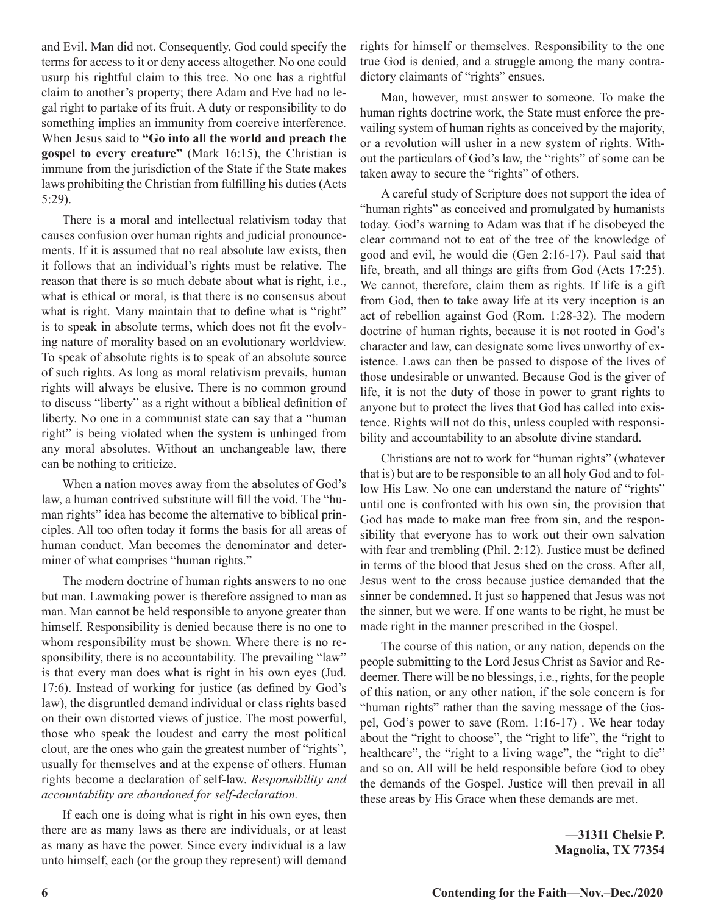and Evil. Man did not. Consequently, God could specify the terms for access to it or deny access altogether. No one could usurp his rightful claim to this tree. No one has a rightful claim to another's property; there Adam and Eve had no legal right to partake of its fruit. A duty or responsibility to do something implies an immunity from coercive interference. When Jesus said to **"Go into all the world and preach the gospel to every creature"** (Mark 16:15), the Christian is immune from the jurisdiction of the State if the State makes laws prohibiting the Christian from fulfilling his duties (Acts 5:29).

There is a moral and intellectual relativism today that causes confusion over human rights and judicial pronouncements. If it is assumed that no real absolute law exists, then it follows that an individual's rights must be relative. The reason that there is so much debate about what is right, i.e., what is ethical or moral, is that there is no consensus about what is right. Many maintain that to define what is "right" is to speak in absolute terms, which does not fit the evolving nature of morality based on an evolutionary worldview. To speak of absolute rights is to speak of an absolute source of such rights. As long as moral relativism prevails, human rights will always be elusive. There is no common ground to discuss "liberty" as a right without a biblical definition of liberty. No one in a communist state can say that a "human right" is being violated when the system is unhinged from any moral absolutes. Without an unchangeable law, there can be nothing to criticize.

When a nation moves away from the absolutes of God's law, a human contrived substitute will fill the void. The "human rights" idea has become the alternative to biblical principles. All too often today it forms the basis for all areas of human conduct. Man becomes the denominator and determiner of what comprises "human rights."

The modern doctrine of human rights answers to no one but man. Lawmaking power is therefore assigned to man as man. Man cannot be held responsible to anyone greater than himself. Responsibility is denied because there is no one to whom responsibility must be shown. Where there is no responsibility, there is no accountability. The prevailing "law" is that every man does what is right in his own eyes (Jud. 17:6). Instead of working for justice (as defined by God's law), the disgruntled demand individual or class rights based on their own distorted views of justice. The most powerful, those who speak the loudest and carry the most political clout, are the ones who gain the greatest number of "rights", usually for themselves and at the expense of others. Human rights become a declaration of self-law. *Responsibility and accountability are abandoned for self-declaration.*

If each one is doing what is right in his own eyes, then there are as many laws as there are individuals, or at least as many as have the power. Since every individual is a law unto himself, each (or the group they represent) will demand rights for himself or themselves. Responsibility to the one true God is denied, and a struggle among the many contradictory claimants of "rights" ensues.

Man, however, must answer to someone. To make the human rights doctrine work, the State must enforce the prevailing system of human rights as conceived by the majority, or a revolution will usher in a new system of rights. Without the particulars of God's law, the "rights" of some can be taken away to secure the "rights" of others.

A careful study of Scripture does not support the idea of "human rights" as conceived and promulgated by humanists today. God's warning to Adam was that if he disobeyed the clear command not to eat of the tree of the knowledge of good and evil, he would die (Gen 2:16-17). Paul said that life, breath, and all things are gifts from God (Acts 17:25). We cannot, therefore, claim them as rights. If life is a gift from God, then to take away life at its very inception is an act of rebellion against God (Rom. 1:28-32). The modern doctrine of human rights, because it is not rooted in God's character and law, can designate some lives unworthy of existence. Laws can then be passed to dispose of the lives of those undesirable or unwanted. Because God is the giver of life, it is not the duty of those in power to grant rights to anyone but to protect the lives that God has called into existence. Rights will not do this, unless coupled with responsibility and accountability to an absolute divine standard.

Christians are not to work for "human rights" (whatever that is) but are to be responsible to an all holy God and to follow His Law. No one can understand the nature of "rights" until one is confronted with his own sin, the provision that God has made to make man free from sin, and the responsibility that everyone has to work out their own salvation with fear and trembling (Phil. 2:12). Justice must be defined in terms of the blood that Jesus shed on the cross. After all, Jesus went to the cross because justice demanded that the sinner be condemned. It just so happened that Jesus was not the sinner, but we were. If one wants to be right, he must be made right in the manner prescribed in the Gospel.

The course of this nation, or any nation, depends on the people submitting to the Lord Jesus Christ as Savior and Redeemer. There will be no blessings, i.e., rights, for the people of this nation, or any other nation, if the sole concern is for "human rights" rather than the saving message of the Gospel, God's power to save (Rom. 1:16-17) . We hear today about the "right to choose", the "right to life", the "right to healthcare", the "right to a living wage", the "right to die" and so on. All will be held responsible before God to obey the demands of the Gospel. Justice will then prevail in all these areas by His Grace when these demands are met.

> **—31311 Chelsie P. Magnolia, TX 77354**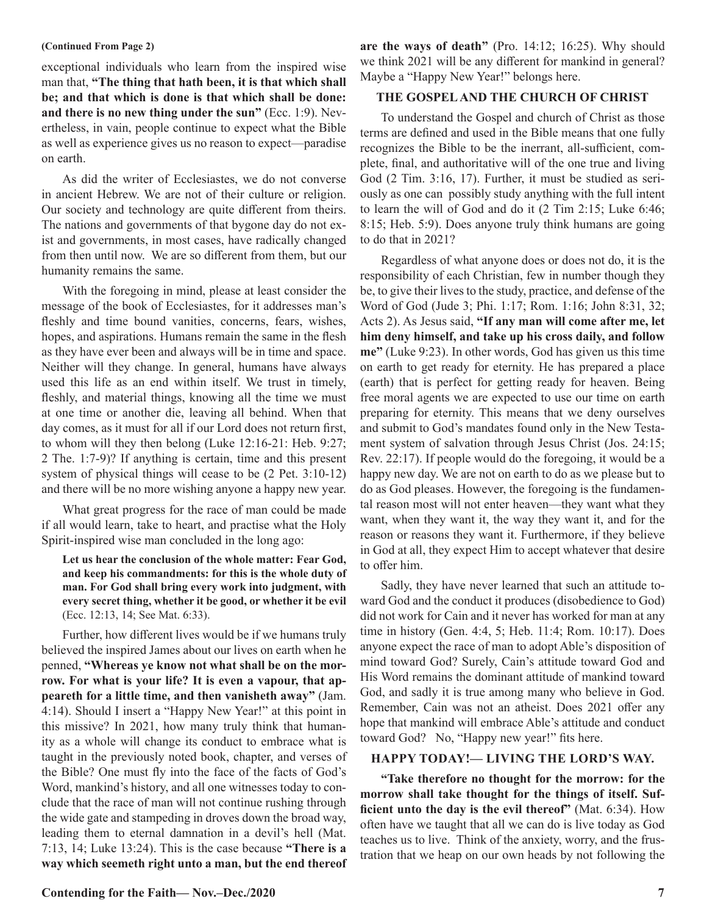exceptional individuals who learn from the inspired wise man that, **"The thing that hath been, it is that which shall be; and that which is done is that which shall be done: and there is no new thing under the sun"** (Ecc. 1:9). Nevertheless, in vain, people continue to expect what the Bible as well as experience gives us no reason to expect—paradise on earth.

As did the writer of Ecclesiastes, we do not converse in ancient Hebrew. We are not of their culture or religion. Our society and technology are quite different from theirs. The nations and governments of that bygone day do not exist and governments, in most cases, have radically changed from then until now. We are so different from them, but our humanity remains the same.

With the foregoing in mind, please at least consider the message of the book of Ecclesiastes, for it addresses man's fleshly and time bound vanities, concerns, fears, wishes, hopes, and aspirations. Humans remain the same in the flesh as they have ever been and always will be in time and space. Neither will they change. In general, humans have always used this life as an end within itself. We trust in timely, fleshly, and material things, knowing all the time we must at one time or another die, leaving all behind. When that day comes, as it must for all if our Lord does not return first, to whom will they then belong (Luke 12:16-21: Heb. 9:27; 2 The. 1:7-9)? If anything is certain, time and this present system of physical things will cease to be (2 Pet. 3:10-12) and there will be no more wishing anyone a happy new year.

What great progress for the race of man could be made if all would learn, take to heart, and practise what the Holy Spirit-inspired wise man concluded in the long ago:

**Let us hear the conclusion of the whole matter: Fear God, and keep his commandments: for this is the whole duty of man. For God shall bring every work into judgment, with every secret thing, whether it be good, or whether it be evil**  (Ecc. 12:13, 14; See Mat. 6:33).

Further, how different lives would be if we humans truly believed the inspired James about our lives on earth when he penned, **"Whereas ye know not what shall be on the morrow. For what is your life? It is even a vapour, that appeareth for a little time, and then vanisheth away"** (Jam. 4:14). Should I insert a "Happy New Year!" at this point in this missive? In 2021, how many truly think that humanity as a whole will change its conduct to embrace what is taught in the previously noted book, chapter, and verses of the Bible? One must fly into the face of the facts of God's Word, mankind's history, and all one witnesses today to conclude that the race of man will not continue rushing through the wide gate and stampeding in droves down the broad way, leading them to eternal damnation in a devil's hell (Mat. 7:13, 14; Luke 13:24). This is the case because **"There is a way which seemeth right unto a man, but the end thereof** 

**(Continued From Page 2) are the ways of death"** (Pro. 14:12; 16:25). Why should we think 2021 will be any different for mankind in general? Maybe a "Happy New Year!" belongs here.

# **THE GOSPEL AND THE CHURCH OF CHRIST**

To understand the Gospel and church of Christ as those terms are defined and used in the Bible means that one fully recognizes the Bible to be the inerrant, all-sufficient, complete, final, and authoritative will of the one true and living God (2 Tim. 3:16, 17). Further, it must be studied as seriously as one can possibly study anything with the full intent to learn the will of God and do it (2 Tim 2:15; Luke 6:46; 8:15; Heb. 5:9). Does anyone truly think humans are going to do that in 2021?

Regardless of what anyone does or does not do, it is the responsibility of each Christian, few in number though they be, to give their lives to the study, practice, and defense of the Word of God (Jude 3; Phi. 1:17; Rom. 1:16; John 8:31, 32; Acts 2). As Jesus said, **"If any man will come after me, let him deny himself, and take up his cross daily, and follow me"** (Luke 9:23). In other words, God has given us this time on earth to get ready for eternity. He has prepared a place (earth) that is perfect for getting ready for heaven. Being free moral agents we are expected to use our time on earth preparing for eternity. This means that we deny ourselves and submit to God's mandates found only in the New Testament system of salvation through Jesus Christ (Jos. 24:15; Rev. 22:17). If people would do the foregoing, it would be a happy new day. We are not on earth to do as we please but to do as God pleases. However, the foregoing is the fundamental reason most will not enter heaven—they want what they want, when they want it, the way they want it, and for the reason or reasons they want it. Furthermore, if they believe in God at all, they expect Him to accept whatever that desire to offer him.

Sadly, they have never learned that such an attitude toward God and the conduct it produces (disobedience to God) did not work for Cain and it never has worked for man at any time in history (Gen. 4:4, 5; Heb. 11:4; Rom. 10:17). Does anyone expect the race of man to adopt Able's disposition of mind toward God? Surely, Cain's attitude toward God and His Word remains the dominant attitude of mankind toward God, and sadly it is true among many who believe in God. Remember, Cain was not an atheist. Does 2021 offer any hope that mankind will embrace Able's attitude and conduct toward God? No, "Happy new year!" fits here.

# **HAPPY TODAY!— LIVING THE LORD'S WAY.**

**"Take therefore no thought for the morrow: for the morrow shall take thought for the things of itself. Sufficient unto the day is the evil thereof"** (Mat. 6:34). How often have we taught that all we can do is live today as God teaches us to live. Think of the anxiety, worry, and the frustration that we heap on our own heads by not following the